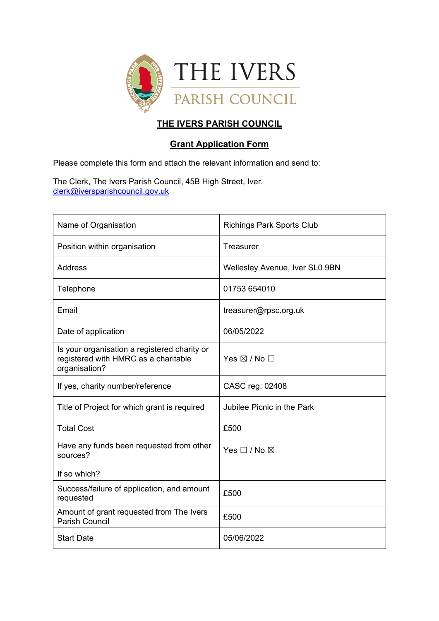

# **THE IVERS PARISH COUNCIL**

## **Grant Application Form**

Please complete this form and attach the relevant information and send to:

The Clerk, The Ivers Parish Council, 45B High Street, Iver. [clerk@iversparishcouncil.gov.uk](mailto:clerk@iversparishcouncil.gov.uk)

| Name of Organisation                                                                                  | <b>Richings Park Sports Club</b> |
|-------------------------------------------------------------------------------------------------------|----------------------------------|
| Position within organisation                                                                          | Treasurer                        |
| <b>Address</b>                                                                                        | Wellesley Avenue, Iver SL0 9BN   |
| Telephone                                                                                             | 01753 654010                     |
| Email                                                                                                 | treasurer@rpsc.org.uk            |
| Date of application                                                                                   | 06/05/2022                       |
| Is your organisation a registered charity or<br>registered with HMRC as a charitable<br>organisation? | Yes $\boxtimes$ / No $\Box$      |
| If yes, charity number/reference                                                                      | CASC reg: 02408                  |
| Title of Project for which grant is required                                                          | Jubilee Picnic in the Park       |
| <b>Total Cost</b>                                                                                     | £500                             |
| Have any funds been requested from other<br>sources?                                                  | Yes $\square$ / No $\square$     |
| If so which?                                                                                          |                                  |
| Success/failure of application, and amount<br>requested                                               | £500                             |
| Amount of grant requested from The Ivers<br><b>Parish Council</b>                                     | £500                             |
| <b>Start Date</b>                                                                                     | 05/06/2022                       |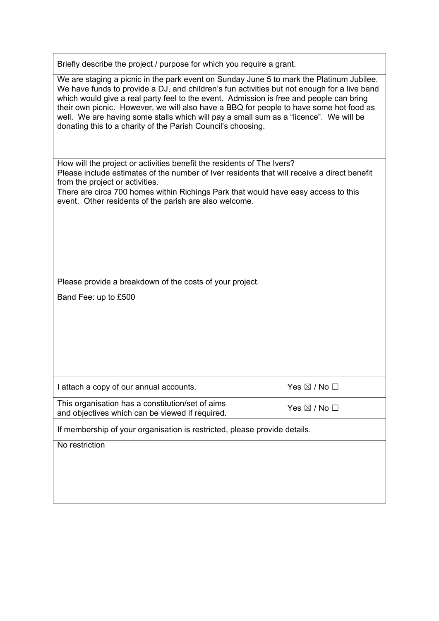Briefly describe the project / purpose for which you require a grant.

We are staging a picnic in the park event on Sunday June 5 to mark the Platinum Jubilee. We have funds to provide a DJ, and children's fun activities but not enough for a live band which would give a real party feel to the event. Admission is free and people can bring their own picnic. However, we will also have a BBQ for people to have some hot food as well. We are having some stalls which will pay a small sum as a "licence". We will be donating this to a charity of the Parish Council's choosing.

How will the project or activities benefit the residents of The Ivers? Please include estimates of the number of Iver residents that will receive a direct benefit from the project or activities.

There are circa 700 homes within Richings Park that would have easy access to this event. Other residents of the parish are also welcome.

Please provide a breakdown of the costs of your project.

Band Fee: up to £500

| I attach a copy of our annual accounts.                                                             | Yes $\boxtimes$ / No $\Box$ |
|-----------------------------------------------------------------------------------------------------|-----------------------------|
| This organisation has a constitution/set of aims<br>and objectives which can be viewed if required. | Yes $\boxtimes$ / No $\Box$ |

If membership of your organisation is restricted, please provide details.

No restriction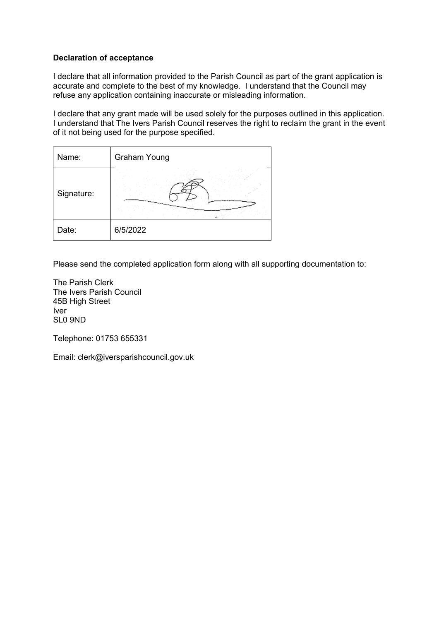## **Declaration of acceptance**

I declare that all information provided to the Parish Council as part of the grant application is accurate and complete to the best of my knowledge. I understand that the Council may refuse any application containing inaccurate or misleading information.

I declare that any grant made will be used solely for the purposes outlined in this application. I understand that The Ivers Parish Council reserves the right to reclaim the grant in the event of it not being used for the purpose specified.

| Name:      | <b>Graham Young</b> |
|------------|---------------------|
| Signature: |                     |
| Date:      | 6/5/2022            |

Please send the completed application form along with all supporting documentation to:

The Parish Clerk The Ivers Parish Council 45B High Street Iver SL0 9ND

Telephone: 01753 655331

Email: clerk@iversparishcouncil.gov.uk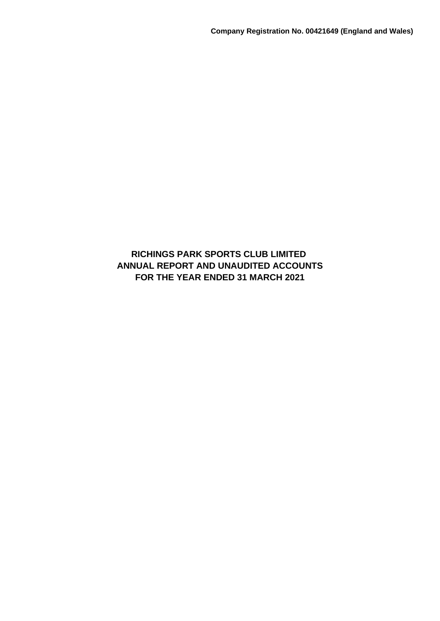# **RICHINGS PARK SPORTS CLUB LIMITED ANNUAL REPORT AND UNAUDITED ACCOUNTS FOR THE YEAR ENDED 31 MARCH 2021**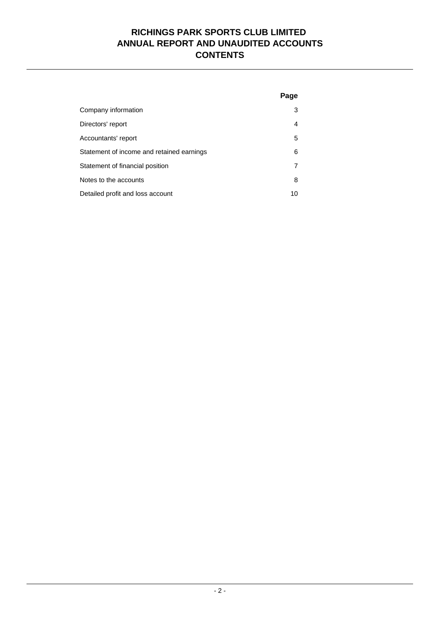# **RICHINGS PARK SPORTS CLUB LIMITED ANNUAL REPORT AND UNAUDITED ACCOUNTS CONTENTS**

|                                           | Page |
|-------------------------------------------|------|
| Company information                       | 3    |
| Directors' report                         | 4    |
| Accountants' report                       | 5    |
| Statement of income and retained earnings | 6    |
| Statement of financial position           | 7    |
| Notes to the accounts                     | 8    |
| Detailed profit and loss account          | 10   |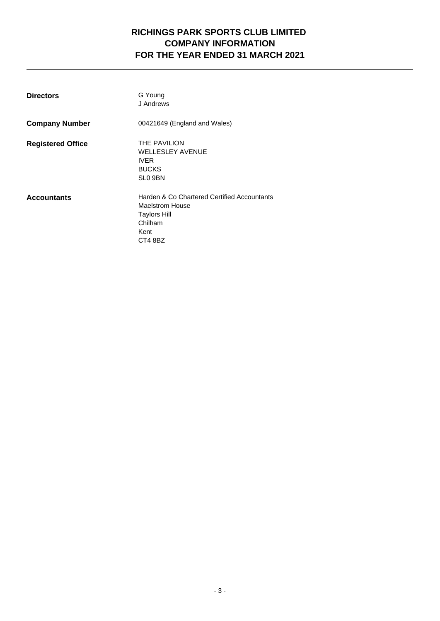# **RICHINGS PARK SPORTS CLUB LIMITED COMPANY INFORMATION FOR THE YEAR ENDED 31 MARCH 2021**

| <b>Directors</b>         | G Young<br>J Andrews                                                                                                       |
|--------------------------|----------------------------------------------------------------------------------------------------------------------------|
| <b>Company Number</b>    | 00421649 (England and Wales)                                                                                               |
| <b>Registered Office</b> | <b>THE PAVILION</b><br><b>WELLESLEY AVENUE</b><br><b>IVER</b><br><b>BUCKS</b><br>SL <sub>0</sub> 9BN                       |
| <b>Accountants</b>       | Harden & Co Chartered Certified Accountants<br><b>Maelstrom House</b><br><b>Taylors Hill</b><br>Chilham<br>Kent<br>CT4 8BZ |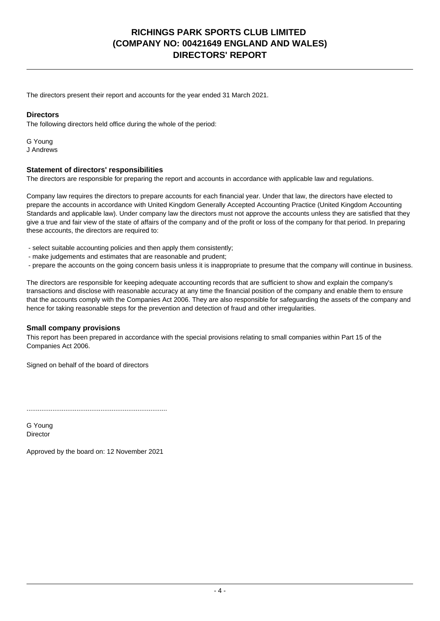# **RICHINGS PARK SPORTS CLUB LIMITED (COMPANY NO: 00421649 ENGLAND AND WALES) DIRECTORS' REPORT**

The directors present their report and accounts for the year ended 31 March 2021.

## **Directors**

The following directors held office during the whole of the period:

G Young J Andrews

## **Statement of directors' responsibilities**

The directors are responsible for preparing the report and accounts in accordance with applicable law and regulations.

Company law requires the directors to prepare accounts for each financial year. Under that law, the directors have elected to prepare the accounts in accordance with United Kingdom Generally Accepted Accounting Practice (United Kingdom Accounting Standards and applicable law). Under company law the directors must not approve the accounts unless they are satisfied that they give a true and fair view of the state of affairs of the company and of the profit or loss of the company for that period. In preparing these accounts, the directors are required to:

- select suitable accounting policies and then apply them consistently;
- make judgements and estimates that are reasonable and prudent;
- prepare the accounts on the going concern basis unless it is inappropriate to presume that the company will continue in business.

The directors are responsible for keeping adequate accounting records that are sufficient to show and explain the company's transactions and disclose with reasonable accuracy at any time the financial position of the company and enable them to ensure that the accounts comply with the Companies Act 2006. They are also responsible for safeguarding the assets of the company and hence for taking reasonable steps for the prevention and detection of fraud and other irregularities.

### **Small company provisions**

This report has been prepared in accordance with the special provisions relating to small companies within Part 15 of the Companies Act 2006.

Signed on behalf of the board of directors

............................................................................

G Young Director

Approved by the board on: 12 November 2021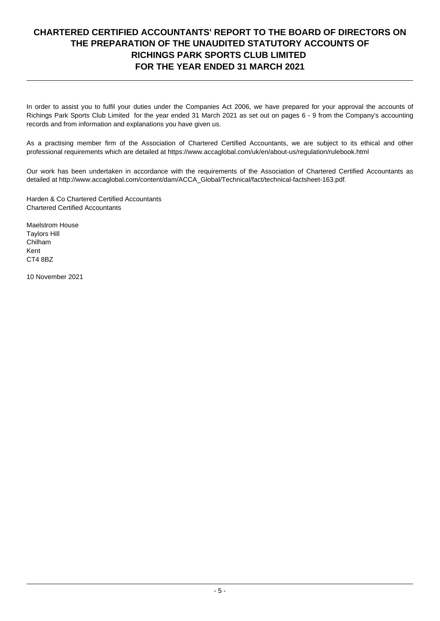# **CHARTERED CERTIFIED ACCOUNTANTS' REPORT TO THE BOARD OF DIRECTORS ON THE PREPARATION OF THE UNAUDITED STATUTORY ACCOUNTS OF RICHINGS PARK SPORTS CLUB LIMITED FOR THE YEAR ENDED 31 MARCH 2021**

In order to assist you to fulfil your duties under the Companies Act 2006, we have prepared for your approval the accounts of Richings Park Sports Club Limited for the year ended 31 March 2021 as set out on pages 6 - 9 from the Company's accounting records and from information and explanations you have given us.

As a practising member firm of the Association of Chartered Certified Accountants, we are subject to its ethical and other professional requirements which are detailed at https://www.accaglobal.com/uk/en/about-us/regulation/rulebook.html

Our work has been undertaken in accordance with the requirements of the Association of Chartered Certified Accountants as detailed at http://www.accaglobal.com/content/dam/ACCA\_Global/Technical/fact/technical-factsheet-163.pdf.

Harden & Co Chartered Certified Accountants Chartered Certified Accountants

Maelstrom House Taylors Hill Chilham Kent CT4 8BZ

10 November 2021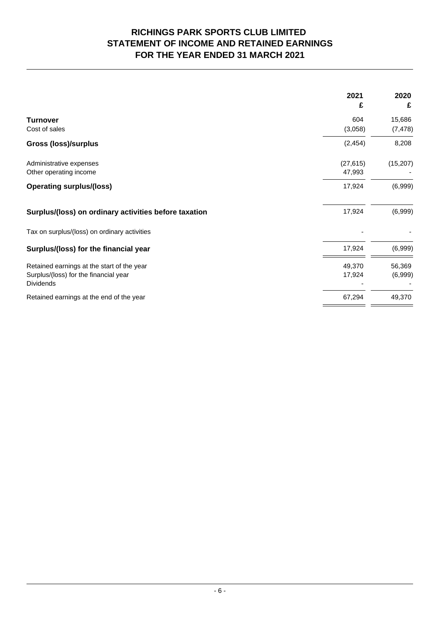# **RICHINGS PARK SPORTS CLUB LIMITED STATEMENT OF INCOME AND RETAINED EARNINGS FOR THE YEAR ENDED 31 MARCH 2021**

|                                                           | 2021<br>£           | 2020<br>£ |
|-----------------------------------------------------------|---------------------|-----------|
| <b>Turnover</b>                                           | 604                 | 15,686    |
| Cost of sales                                             | (3,058)             | (7, 478)  |
| <b>Gross (loss)/surplus</b>                               | (2, 454)            | 8,208     |
| Administrative expenses<br>Other operating income         | (27, 615)<br>47,993 | (15, 207) |
| <b>Operating surplus/(loss)</b>                           | 17,924              | (6,999)   |
| Surplus/(loss) on ordinary activities before taxation     | 17,924              | (6,999)   |
| Tax on surplus/(loss) on ordinary activities              |                     |           |
| Surplus/(loss) for the financial year                     | 17,924              | (6,999)   |
| Retained earnings at the start of the year                | 49,370              | 56,369    |
| Surplus/(loss) for the financial year<br><b>Dividends</b> | 17,924              | (6,999)   |
| Retained earnings at the end of the year                  | 67,294              | 49,370    |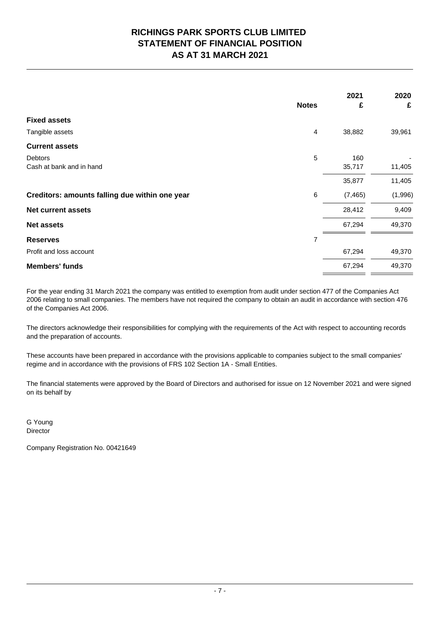# **RICHINGS PARK SPORTS CLUB LIMITED STATEMENT OF FINANCIAL POSITION AS AT 31 MARCH 2021**

|                                                |                | 2021     | 2020    |
|------------------------------------------------|----------------|----------|---------|
|                                                | <b>Notes</b>   | £        | £       |
| <b>Fixed assets</b>                            |                |          |         |
| Tangible assets                                | $\overline{4}$ | 38,882   | 39,961  |
| <b>Current assets</b>                          |                |          |         |
| Debtors                                        | 5              | 160      |         |
| Cash at bank and in hand                       |                | 35,717   | 11,405  |
|                                                |                | 35,877   | 11,405  |
| Creditors: amounts falling due within one year | $\,6$          | (7, 465) | (1,996) |
| <b>Net current assets</b>                      |                | 28,412   | 9,409   |
| <b>Net assets</b>                              |                | 67,294   | 49,370  |
| <b>Reserves</b>                                | $\overline{7}$ |          |         |
| Profit and loss account                        |                | 67,294   | 49,370  |
| <b>Members' funds</b>                          |                | 67,294   | 49,370  |

For the year ending 31 March 2021 the company was entitled to exemption from audit under section 477 of the Companies Act 2006 relating to small companies. The members have not required the company to obtain an audit in accordance with section 476 of the Companies Act 2006.

The directors acknowledge their responsibilities for complying with the requirements of the Act with respect to accounting records and the preparation of accounts.

These accounts have been prepared in accordance with the provisions applicable to companies subject to the small companies' regime and in accordance with the provisions of FRS 102 Section 1A - Small Entities.

The financial statements were approved by the Board of Directors and authorised for issue on 12 November 2021 and were signed on its behalf by

G Young **Director** 

Company Registration No. 00421649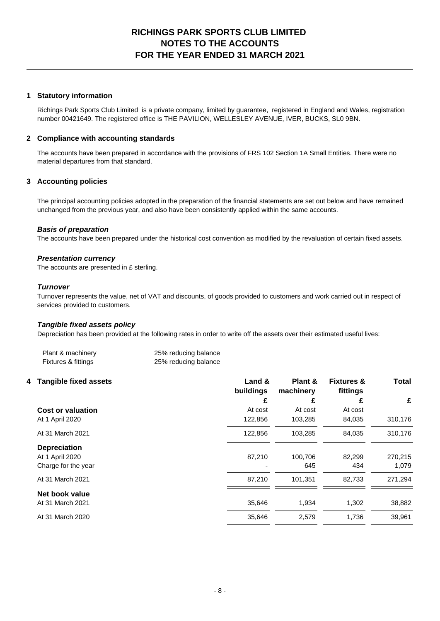## **RICHINGS PARK SPORTS CLUB LIMITED NOTES TO THE ACCOUNTS FOR THE YEAR ENDED 31 MARCH 2021**

## **1 Statutory information**

Richings Park Sports Club Limited is a private company, limited by guarantee, registered in England and Wales, registration number 00421649. The registered office is THE PAVILION, WELLESLEY AVENUE, IVER, BUCKS, SL0 9BN.

### **2 Compliance with accounting standards**

The accounts have been prepared in accordance with the provisions of FRS 102 Section 1A Small Entities. There were no material departures from that standard.

### **3 Accounting policies**

The principal accounting policies adopted in the preparation of the financial statements are set out below and have remained unchanged from the previous year, and also have been consistently applied within the same accounts.

### **Basis of preparation**

The accounts have been prepared under the historical cost convention as modified by the revaluation of certain fixed assets.

### **Presentation currency**

The accounts are presented in £ sterling.

#### **Turnover**

Turnover represents the value, net of VAT and discounts, of goods provided to customers and work carried out in respect of services provided to customers.

### **Tangible fixed assets policy**

Depreciation has been provided at the following rates in order to write off the assets over their estimated useful lives:

| Plant & machinery   | 25% reducing balance |
|---------------------|----------------------|
| Fixtures & fittings | 25% reducing balance |

| 4 Tangible fixed assets  | Land &<br>buildings | Plant &<br>machinery | <b>Fixtures &amp;</b><br>fittings | <b>Total</b> |
|--------------------------|---------------------|----------------------|-----------------------------------|--------------|
|                          | £                   | £                    | £                                 | £            |
| <b>Cost or valuation</b> | At cost             | At cost              | At cost                           |              |
| At 1 April 2020          | 122,856             | 103,285              | 84,035                            | 310,176      |
| At 31 March 2021         | 122,856             | 103,285              | 84,035                            | 310,176      |
| <b>Depreciation</b>      |                     |                      |                                   |              |
| At 1 April 2020          | 87,210              | 100.706              | 82.299                            | 270,215      |
| Charge for the year      |                     | 645                  | 434                               | 1,079        |
| At 31 March 2021         | 87,210              | 101,351              | 82,733                            | 271,294      |
| Net book value           |                     |                      |                                   |              |
| At 31 March 2021         | 35,646              | 1,934                | 1,302                             | 38,882       |
| At 31 March 2020         | 35,646              | 2,579                | 1,736                             | 39,961       |
|                          |                     |                      |                                   |              |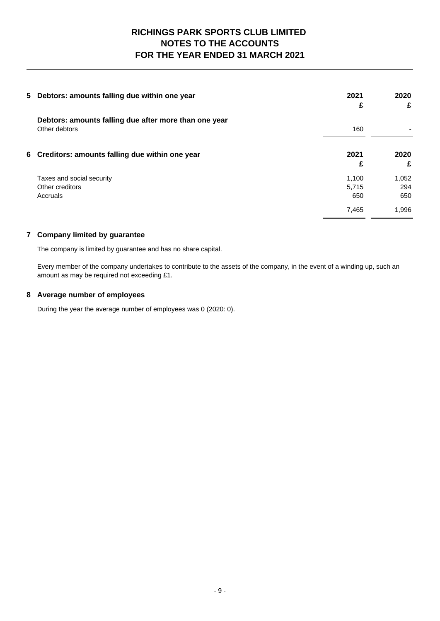# **RICHINGS PARK SPORTS CLUB LIMITED NOTES TO THE ACCOUNTS FOR THE YEAR ENDED 31 MARCH 2021**

| 5 Debtors: amounts falling due within one year                         | 2021<br>£ | 2020<br>£ |
|------------------------------------------------------------------------|-----------|-----------|
| Debtors: amounts falling due after more than one year<br>Other debtors | 160       |           |
| 6 Creditors: amounts falling due within one year                       | 2021<br>£ | 2020<br>£ |
|                                                                        |           |           |
| Taxes and social security                                              | 1.100     | 1,052     |
| Other creditors                                                        | 5,715     | 294       |
| Accruals                                                               | 650       | 650       |
|                                                                        | 7,465     | 1,996     |

## **7 Company limited by guarantee**

The company is limited by guarantee and has no share capital.

Every member of the company undertakes to contribute to the assets of the company, in the event of a winding up, such an amount as may be required not exceeding £1.

## **8 Average number of employees**

During the year the average number of employees was 0 (2020: 0).